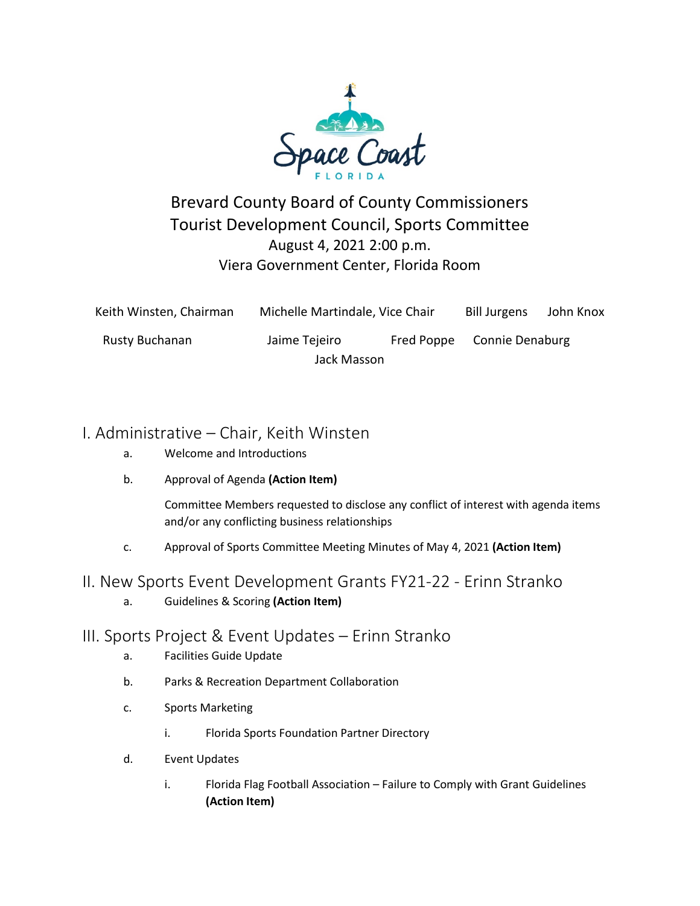

## Brevard County Board of County Commissioners Tourist Development Council, Sports Committee August 4, 2021 2:00 p.m. Viera Government Center, Florida Room

| Keith Winsten, Chairman | Michelle Martindale, Vice Chair |            | <b>Bill Jurgens</b> | John Knox |
|-------------------------|---------------------------------|------------|---------------------|-----------|
| Rusty Buchanan          | Jaime Tejeiro                   | Fred Poppe | Connie Denaburg     |           |
|                         | Jack Masson                     |            |                     |           |

## I. Administrative – Chair, Keith Winsten

- a. Welcome and Introductions
- b. Approval of Agenda **(Action Item)**

Committee Members requested to disclose any conflict of interest with agenda items and/or any conflicting business relationships

c. Approval of Sports Committee Meeting Minutes of May 4, 2021 **(Action Item)**

## II. New Sports Event Development Grants FY21-22 - Erinn Stranko

a. Guidelines & Scoring **(Action Item)**

## III. Sports Project & Event Updates – Erinn Stranko

- a. Facilities Guide Update
- b. Parks & Recreation Department Collaboration
- c. Sports Marketing
	- i. Florida Sports Foundation Partner Directory
- d. Event Updates
	- i. Florida Flag Football Association Failure to Comply with Grant Guidelines **(Action Item)**